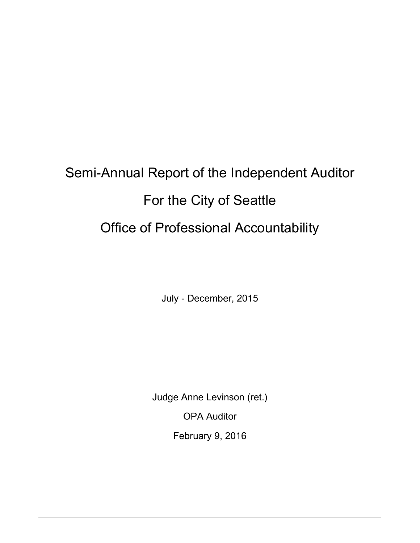# Semi-Annual Report of the Independent Auditor For the City of Seattle Office of Professional Accountability

July - December, 2015

Judge Anne Levinson (ret.)

OPA Auditor

February 9, 2016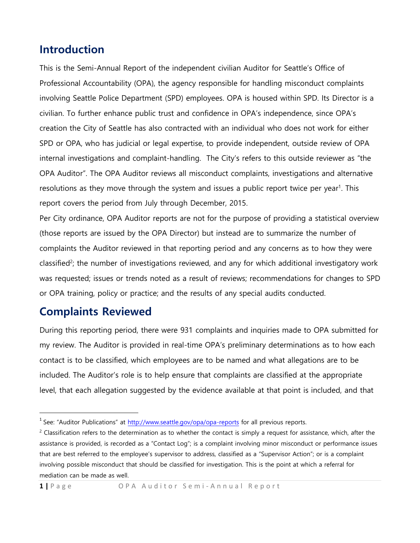# **Introduction**

This is the Semi-Annual Report of the independent civilian Auditor for Seattle's Office of Professional Accountability (OPA), the agency responsible for handling misconduct complaints involving Seattle Police Department (SPD) employees. OPA is housed within SPD. Its Director is a civilian. To further enhance public trust and confidence in OPA's independence, since OPA's creation the City of Seattle has also contracted with an individual who does not work for either SPD or OPA, who has judicial or legal expertise, to provide independent, outside review of OPA internal investigations and complaint-handling. The City's refers to this outside reviewer as "the OPA Auditor". The OPA Auditor reviews all misconduct complaints, investigations and alternative resolutions as they move through the system and issues a public report twice per year<sup>1</sup>. This report covers the period from July through December, 2015.

Per City ordinance, OPA Auditor reports are not for the purpose of providing a statistical overview (those reports are issued by the OPA Director) but instead are to summarize the number of complaints the Auditor reviewed in that reporting period and any concerns as to how they were classified<sup>2</sup>; the number of investigations reviewed, and any for which additional investigatory work was requested; issues or trends noted as a result of reviews; recommendations for changes to SPD or OPA training, policy or practice; and the results of any special audits conducted.

# **Complaints Reviewed**

 $\overline{a}$ 

During this reporting period, there were 931 complaints and inquiries made to OPA submitted for my review. The Auditor is provided in real-time OPA's preliminary determinations as to how each contact is to be classified, which employees are to be named and what allegations are to be included. The Auditor's role is to help ensure that complaints are classified at the appropriate level, that each allegation suggested by the evidence available at that point is included, and that

<sup>&</sup>lt;sup>1</sup> See: "Auditor Publications" at<http://www.seattle.gov/opa/opa-reports> for all previous reports.

 $2$  Classification refers to the determination as to whether the contact is simply a request for assistance, which, after the assistance is provided, is recorded as a "Contact Log"; is a complaint involving minor misconduct or performance issues that are best referred to the employee's supervisor to address, classified as a "Supervisor Action"; or is a complaint involving possible misconduct that should be classified for investigation. This is the point at which a referral for mediation can be made as well.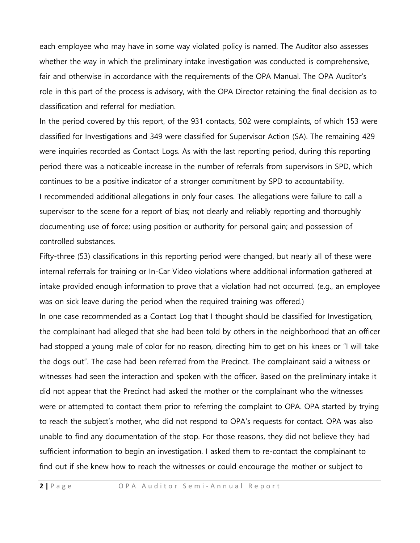each employee who may have in some way violated policy is named. The Auditor also assesses whether the way in which the preliminary intake investigation was conducted is comprehensive, fair and otherwise in accordance with the requirements of the OPA Manual. The OPA Auditor's role in this part of the process is advisory, with the OPA Director retaining the final decision as to classification and referral for mediation.

In the period covered by this report, of the 931 contacts, 502 were complaints, of which 153 were classified for Investigations and 349 were classified for Supervisor Action (SA). The remaining 429 were inquiries recorded as Contact Logs. As with the last reporting period, during this reporting period there was a noticeable increase in the number of referrals from supervisors in SPD, which continues to be a positive indicator of a stronger commitment by SPD to accountability. I recommended additional allegations in only four cases. The allegations were failure to call a supervisor to the scene for a report of bias; not clearly and reliably reporting and thoroughly documenting use of force; using position or authority for personal gain; and possession of controlled substances.

Fifty-three (53) classifications in this reporting period were changed, but nearly all of these were internal referrals for training or In-Car Video violations where additional information gathered at intake provided enough information to prove that a violation had not occurred. (e.g., an employee was on sick leave during the period when the required training was offered.)

In one case recommended as a Contact Log that I thought should be classified for Investigation, the complainant had alleged that she had been told by others in the neighborhood that an officer had stopped a young male of color for no reason, directing him to get on his knees or "I will take the dogs out". The case had been referred from the Precinct. The complainant said a witness or witnesses had seen the interaction and spoken with the officer. Based on the preliminary intake it did not appear that the Precinct had asked the mother or the complainant who the witnesses were or attempted to contact them prior to referring the complaint to OPA. OPA started by trying to reach the subject's mother, who did not respond to OPA's requests for contact. OPA was also unable to find any documentation of the stop. For those reasons, they did not believe they had sufficient information to begin an investigation. I asked them to re-contact the complainant to find out if she knew how to reach the witnesses or could encourage the mother or subject to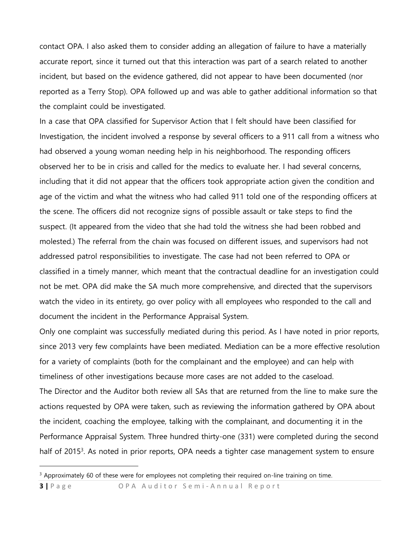contact OPA. I also asked them to consider adding an allegation of failure to have a materially accurate report, since it turned out that this interaction was part of a search related to another incident, but based on the evidence gathered, did not appear to have been documented (nor reported as a Terry Stop). OPA followed up and was able to gather additional information so that the complaint could be investigated.

In a case that OPA classified for Supervisor Action that I felt should have been classified for Investigation, the incident involved a response by several officers to a 911 call from a witness who had observed a young woman needing help in his neighborhood. The responding officers observed her to be in crisis and called for the medics to evaluate her. I had several concerns, including that it did not appear that the officers took appropriate action given the condition and age of the victim and what the witness who had called 911 told one of the responding officers at the scene. The officers did not recognize signs of possible assault or take steps to find the suspect. (It appeared from the video that she had told the witness she had been robbed and molested.) The referral from the chain was focused on different issues, and supervisors had not addressed patrol responsibilities to investigate. The case had not been referred to OPA or classified in a timely manner, which meant that the contractual deadline for an investigation could not be met. OPA did make the SA much more comprehensive, and directed that the supervisors watch the video in its entirety, go over policy with all employees who responded to the call and document the incident in the Performance Appraisal System.

Only one complaint was successfully mediated during this period. As I have noted in prior reports, since 2013 very few complaints have been mediated. Mediation can be a more effective resolution for a variety of complaints (both for the complainant and the employee) and can help with timeliness of other investigations because more cases are not added to the caseload. The Director and the Auditor both review all SAs that are returned from the line to make sure the actions requested by OPA were taken, such as reviewing the information gathered by OPA about the incident, coaching the employee, talking with the complainant, and documenting it in the Performance Appraisal System. Three hundred thirty-one (331) were completed during the second half of 2015<sup>3</sup>. As noted in prior reports, OPA needs a tighter case management system to ensure

<sup>&</sup>lt;sup>3</sup> Approximately 60 of these were for employees not completing their required on-line training on time.

**<sup>3</sup>** | Page OPA Auditor Semi-Annual Report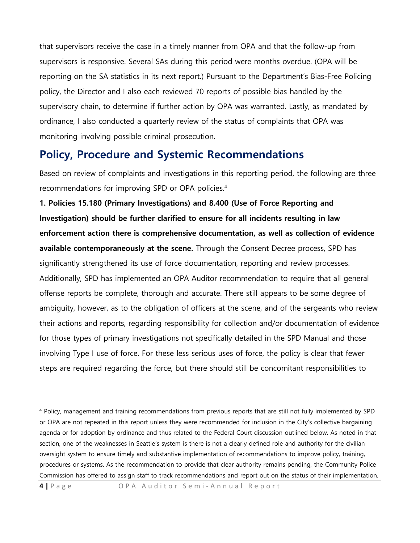that supervisors receive the case in a timely manner from OPA and that the follow-up from supervisors is responsive. Several SAs during this period were months overdue. (OPA will be reporting on the SA statistics in its next report.) Pursuant to the Department's Bias-Free Policing policy, the Director and I also each reviewed 70 reports of possible bias handled by the supervisory chain, to determine if further action by OPA was warranted. Lastly, as mandated by ordinance, I also conducted a quarterly review of the status of complaints that OPA was monitoring involving possible criminal prosecution.

# **Policy, Procedure and Systemic Recommendations**

Based on review of complaints and investigations in this reporting period, the following are three recommendations for improving SPD or OPA policies.<sup>4</sup>

**1. Policies 15.180 (Primary Investigations) and 8.400 (Use of Force Reporting and Investigation) should be further clarified to ensure for all incidents resulting in law enforcement action there is comprehensive documentation, as well as collection of evidence available contemporaneously at the scene.** Through the Consent Decree process, SPD has significantly strengthened its use of force documentation, reporting and review processes. Additionally, SPD has implemented an OPA Auditor recommendation to require that all general offense reports be complete, thorough and accurate. There still appears to be some degree of ambiguity, however, as to the obligation of officers at the scene, and of the sergeants who review their actions and reports, regarding responsibility for collection and/or documentation of evidence for those types of primary investigations not specifically detailed in the SPD Manual and those involving Type I use of force. For these less serious uses of force, the policy is clear that fewer steps are required regarding the force, but there should still be concomitant responsibilities to

**4** | Page OPA Auditor Semi-Annual Report

<sup>4</sup> Policy, management and training recommendations from previous reports that are still not fully implemented by SPD or OPA are not repeated in this report unless they were recommended for inclusion in the City's collective bargaining agenda or for adoption by ordinance and thus related to the Federal Court discussion outlined below. As noted in that section, one of the weaknesses in Seattle's system is there is not a clearly defined role and authority for the civilian oversight system to ensure timely and substantive implementation of recommendations to improve policy, training, procedures or systems. As the recommendation to provide that clear authority remains pending, the Community Police Commission has offered to assign staff to track recommendations and report out on the status of their implementation.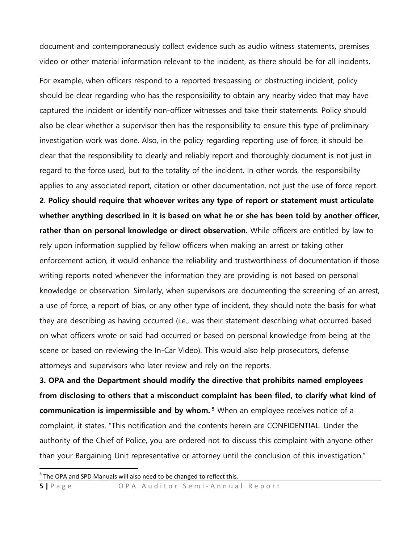document and contemporaneously collect evidence such as audio witness statements, premises video or other material information relevant to the incident, as there should be for all incidents.

For example, when officers respond to a reported trespassing or obstructing incident, policy should be clear regarding who has the responsibility to obtain any nearby video that may have captured the incident or identify non-officer witnesses and take their statements. Policy should also be clear whether a supervisor then has the responsibility to ensure this type of preliminary investigation work was done. Also, in the policy regarding reporting use of force, it should be clear that the responsibility to clearly and reliably report and thoroughly document is not just in regard to the force used, but to the totality of the incident. In other words, the responsibility applies to any associated report, citation or other documentation, not just the use of force report.

**2**. **Policy should require that whoever writes any type of report or statement must articulate whether anything described in it is based on what he or she has been told by another officer, rather than on personal knowledge or direct observation.** While officers are entitled by law to rely upon information supplied by fellow officers when making an arrest or taking other enforcement action, it would enhance the reliability and trustworthiness of documentation if those writing reports noted whenever the information they are providing is not based on personal knowledge or observation. Similarly, when supervisors are documenting the screening of an arrest, a use of force, a report of bias, or any other type of incident, they should note the basis for what they are describing as having occurred (i.e., was their statement describing what occurred based on what officers wrote or said had occurred or based on personal knowledge from being at the scene or based on reviewing the In-Car Video). This would also help prosecutors, defense attorneys and supervisors who later review and rely on the reports.

**3. OPA and the Department should modify the directive that prohibits named employees from disclosing to others that a misconduct complaint has been filed, to clarify what kind of communication is impermissible and by whom. <sup>5</sup>** When an employee receives notice of a complaint, it states, "This notification and the contents herein are CONFIDENTIAL. Under the authority of the Chief of Police, you are ordered not to discuss this complaint with anyone other than your Bargaining Unit representative or attorney until the conclusion of this investigation."

 $\overline{a}$ 

**5** | Page OPA Auditor Semi-Annual Report

<sup>&</sup>lt;sup>5</sup> The OPA and SPD Manuals will also need to be changed to reflect this.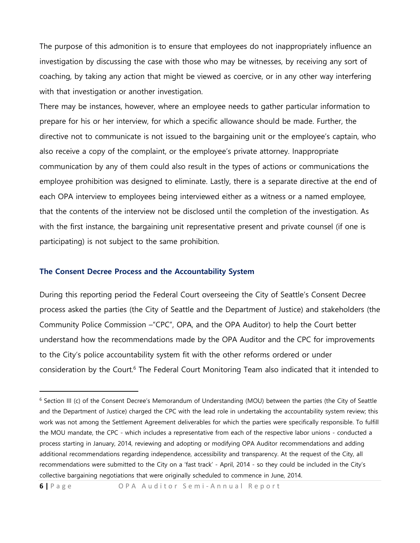The purpose of this admonition is to ensure that employees do not inappropriately influence an investigation by discussing the case with those who may be witnesses, by receiving any sort of coaching, by taking any action that might be viewed as coercive, or in any other way interfering with that investigation or another investigation.

There may be instances, however, where an employee needs to gather particular information to prepare for his or her interview, for which a specific allowance should be made. Further, the directive not to communicate is not issued to the bargaining unit or the employee's captain, who also receive a copy of the complaint, or the employee's private attorney. Inappropriate communication by any of them could also result in the types of actions or communications the employee prohibition was designed to eliminate. Lastly, there is a separate directive at the end of each OPA interview to employees being interviewed either as a witness or a named employee, that the contents of the interview not be disclosed until the completion of the investigation. As with the first instance, the bargaining unit representative present and private counsel (if one is participating) is not subject to the same prohibition.

#### **The Consent Decree Process and the Accountability System**

 $\overline{a}$ 

During this reporting period the Federal Court overseeing the City of Seattle's Consent Decree process asked the parties (the City of Seattle and the Department of Justice) and stakeholders (the Community Police Commission –"CPC", OPA, and the OPA Auditor) to help the Court better understand how the recommendations made by the OPA Auditor and the CPC for improvements to the City's police accountability system fit with the other reforms ordered or under consideration by the Court.<sup>6</sup> The Federal Court Monitoring Team also indicated that it intended to

<sup>6</sup> Section III (c) of the Consent Decree's Memorandum of Understanding (MOU) between the parties (the City of Seattle and the Department of Justice) charged the CPC with the lead role in undertaking the accountability system review; this work was not among the Settlement Agreement deliverables for which the parties were specifically responsible. To fulfill the MOU mandate, the CPC - which includes a representative from each of the respective labor unions - conducted a process starting in January, 2014, reviewing and adopting or modifying OPA Auditor recommendations and adding additional recommendations regarding independence, accessibility and transparency. At the request of the City, all recommendations were submitted to the City on a 'fast track' - April, 2014 - so they could be included in the City's collective bargaining negotiations that were originally scheduled to commence in June, 2014.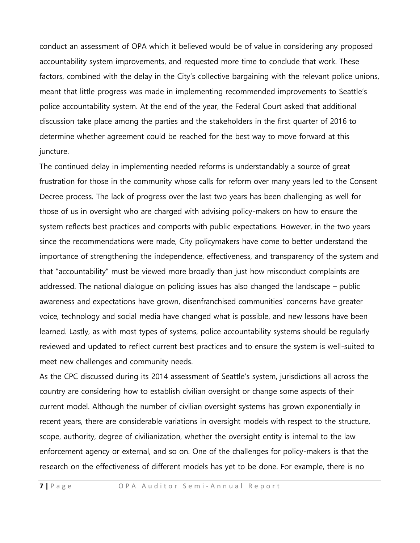conduct an assessment of OPA which it believed would be of value in considering any proposed accountability system improvements, and requested more time to conclude that work. These factors, combined with the delay in the City's collective bargaining with the relevant police unions, meant that little progress was made in implementing recommended improvements to Seattle's police accountability system. At the end of the year, the Federal Court asked that additional discussion take place among the parties and the stakeholders in the first quarter of 2016 to determine whether agreement could be reached for the best way to move forward at this juncture.

The continued delay in implementing needed reforms is understandably a source of great frustration for those in the community whose calls for reform over many years led to the Consent Decree process. The lack of progress over the last two years has been challenging as well for those of us in oversight who are charged with advising policy-makers on how to ensure the system reflects best practices and comports with public expectations. However, in the two years since the recommendations were made, City policymakers have come to better understand the importance of strengthening the independence, effectiveness, and transparency of the system and that "accountability" must be viewed more broadly than just how misconduct complaints are addressed. The national dialogue on policing issues has also changed the landscape – public awareness and expectations have grown, disenfranchised communities' concerns have greater voice, technology and social media have changed what is possible, and new lessons have been learned. Lastly, as with most types of systems, police accountability systems should be regularly reviewed and updated to reflect current best practices and to ensure the system is well-suited to meet new challenges and community needs.

As the CPC discussed during its 2014 assessment of Seattle's system, jurisdictions all across the country are considering how to establish civilian oversight or change some aspects of their current model. Although the number of civilian oversight systems has grown exponentially in recent years, there are considerable variations in oversight models with respect to the structure, scope, authority, degree of civilianization, whether the oversight entity is internal to the law enforcement agency or external, and so on. One of the challenges for policy-makers is that the research on the effectiveness of different models has yet to be done. For example, there is no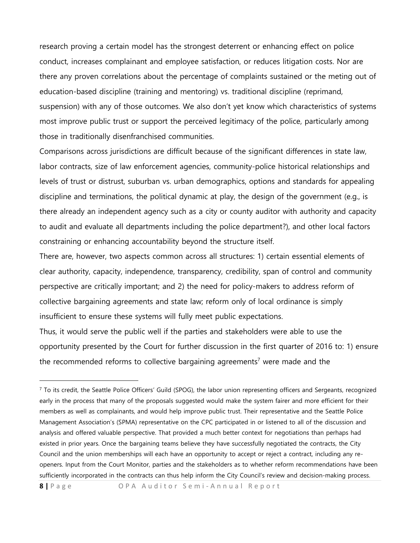research proving a certain model has the strongest deterrent or enhancing effect on police conduct, increases complainant and employee satisfaction, or reduces litigation costs. Nor are there any proven correlations about the percentage of complaints sustained or the meting out of education-based discipline (training and mentoring) vs. traditional discipline (reprimand, suspension) with any of those outcomes. We also don't yet know which characteristics of systems most improve public trust or support the perceived legitimacy of the police, particularly among those in traditionally disenfranchised communities.

Comparisons across jurisdictions are difficult because of the significant differences in state law, labor contracts, size of law enforcement agencies, community-police historical relationships and levels of trust or distrust, suburban vs. urban demographics, options and standards for appealing discipline and terminations, the political dynamic at play, the design of the government (e.g., is there already an independent agency such as a city or county auditor with authority and capacity to audit and evaluate all departments including the police department?), and other local factors constraining or enhancing accountability beyond the structure itself.

There are, however, two aspects common across all structures: 1) certain essential elements of clear authority, capacity, independence, transparency, credibility, span of control and community perspective are critically important; and 2) the need for policy-makers to address reform of collective bargaining agreements and state law; reform only of local ordinance is simply insufficient to ensure these systems will fully meet public expectations.

Thus, it would serve the public well if the parties and stakeholders were able to use the opportunity presented by the Court for further discussion in the first quarter of 2016 to: 1) ensure the recommended reforms to collective bargaining agreements<sup>7</sup> were made and the

**8** | Page OPA Auditor Semi-Annual Report

 $7$  To its credit, the Seattle Police Officers' Guild (SPOG), the labor union representing officers and Sergeants, recognized early in the process that many of the proposals suggested would make the system fairer and more efficient for their members as well as complainants, and would help improve public trust. Their representative and the Seattle Police Management Association's (SPMA) representative on the CPC participated in or listened to all of the discussion and analysis and offered valuable perspective. That provided a much better context for negotiations than perhaps had existed in prior years. Once the bargaining teams believe they have successfully negotiated the contracts, the City Council and the union memberships will each have an opportunity to accept or reject a contract, including any reopeners. Input from the Court Monitor, parties and the stakeholders as to whether reform recommendations have been sufficiently incorporated in the contracts can thus help inform the City Council's review and decision-making process.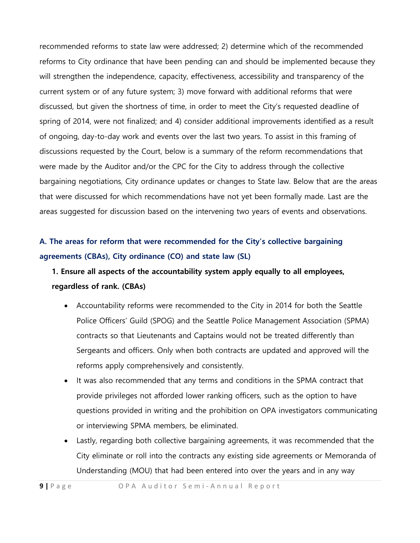recommended reforms to state law were addressed; 2) determine which of the recommended reforms to City ordinance that have been pending can and should be implemented because they will strengthen the independence, capacity, effectiveness, accessibility and transparency of the current system or of any future system; 3) move forward with additional reforms that were discussed, but given the shortness of time, in order to meet the City's requested deadline of spring of 2014, were not finalized; and 4) consider additional improvements identified as a result of ongoing, day-to-day work and events over the last two years. To assist in this framing of discussions requested by the Court, below is a summary of the reform recommendations that were made by the Auditor and/or the CPC for the City to address through the collective bargaining negotiations, City ordinance updates or changes to State law. Below that are the areas that were discussed for which recommendations have not yet been formally made. Last are the areas suggested for discussion based on the intervening two years of events and observations.

### **A. The areas for reform that were recommended for the City's collective bargaining agreements (CBAs), City ordinance (CO) and state law (SL)**

### **1. Ensure all aspects of the accountability system apply equally to all employees, regardless of rank. (CBAs)**

- Accountability reforms were recommended to the City in 2014 for both the Seattle Police Officers' Guild (SPOG) and the Seattle Police Management Association (SPMA) contracts so that Lieutenants and Captains would not be treated differently than Sergeants and officers. Only when both contracts are updated and approved will the reforms apply comprehensively and consistently.
- It was also recommended that any terms and conditions in the SPMA contract that provide privileges not afforded lower ranking officers, such as the option to have questions provided in writing and the prohibition on OPA investigators communicating or interviewing SPMA members, be eliminated.
- Lastly, regarding both collective bargaining agreements, it was recommended that the City eliminate or roll into the contracts any existing side agreements or Memoranda of Understanding (MOU) that had been entered into over the years and in any way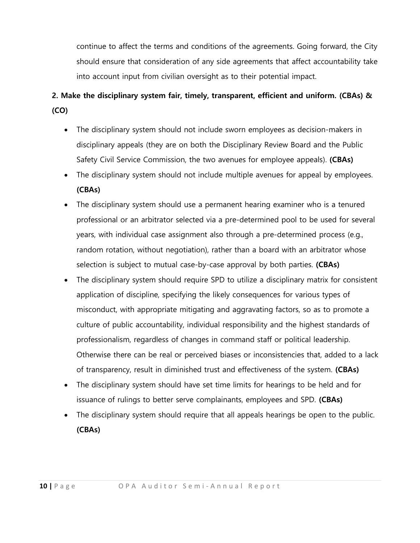continue to affect the terms and conditions of the agreements. Going forward, the City should ensure that consideration of any side agreements that affect accountability take into account input from civilian oversight as to their potential impact.

# **2. Make the disciplinary system fair, timely, transparent, efficient and uniform. (CBAs) & (CO)**

- The disciplinary system should not include sworn employees as decision-makers in disciplinary appeals (they are on both the Disciplinary Review Board and the Public Safety Civil Service Commission, the two avenues for employee appeals). **(CBAs)**
- The disciplinary system should not include multiple avenues for appeal by employees. **(CBAs)**
- The disciplinary system should use a permanent hearing examiner who is a tenured professional or an arbitrator selected via a pre-determined pool to be used for several years, with individual case assignment also through a pre-determined process (e.g., random rotation, without negotiation), rather than a board with an arbitrator whose selection is subject to mutual case-by-case approval by both parties. **(CBAs)**
- The disciplinary system should require SPD to utilize a disciplinary matrix for consistent application of discipline, specifying the likely consequences for various types of misconduct, with appropriate mitigating and aggravating factors, so as to promote a culture of public accountability, individual responsibility and the highest standards of professionalism, regardless of changes in command staff or political leadership. Otherwise there can be real or perceived biases or inconsistencies that, added to a lack of transparency, result in diminished trust and effectiveness of the system. **(CBAs)**
- The disciplinary system should have set time limits for hearings to be held and for issuance of rulings to better serve complainants, employees and SPD. **(CBAs)**
- The disciplinary system should require that all appeals hearings be open to the public. **(CBAs)**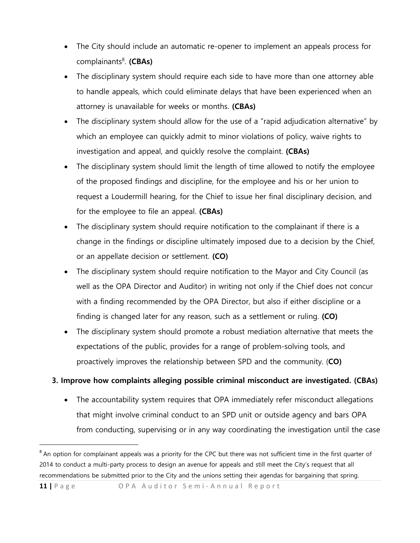- The City should include an automatic re-opener to implement an appeals process for complainants<sup>8</sup>. (CBAs)
- The disciplinary system should require each side to have more than one attorney able to handle appeals, which could eliminate delays that have been experienced when an attorney is unavailable for weeks or months. **(CBAs)**
- The disciplinary system should allow for the use of a "rapid adjudication alternative" by which an employee can quickly admit to minor violations of policy, waive rights to investigation and appeal, and quickly resolve the complaint. **(CBAs)**
- The disciplinary system should limit the length of time allowed to notify the employee of the proposed findings and discipline, for the employee and his or her union to request a Loudermill hearing, for the Chief to issue her final disciplinary decision, and for the employee to file an appeal. **(CBAs)**
- The disciplinary system should require notification to the complainant if there is a change in the findings or discipline ultimately imposed due to a decision by the Chief, or an appellate decision or settlement. **(CO)**
- The disciplinary system should require notification to the Mayor and City Council (as well as the OPA Director and Auditor) in writing not only if the Chief does not concur with a finding recommended by the OPA Director, but also if either discipline or a finding is changed later for any reason, such as a settlement or ruling. **(CO)**
- The disciplinary system should promote a robust mediation alternative that meets the expectations of the public, provides for a range of problem-solving tools, and proactively improves the relationship between SPD and the community. (**CO)**

### **3. Improve how complaints alleging possible criminal misconduct are investigated. (CBAs)**

• The accountability system requires that OPA immediately refer misconduct allegations that might involve criminal conduct to an SPD unit or outside agency and bars OPA from conducting, supervising or in any way coordinating the investigation until the case

<sup>&</sup>lt;sup>8</sup> An option for complainant appeals was a priority for the CPC but there was not sufficient time in the first quarter of 2014 to conduct a multi-party process to design an avenue for appeals and still meet the City's request that all recommendations be submitted prior to the City and the unions setting their agendas for bargaining that spring.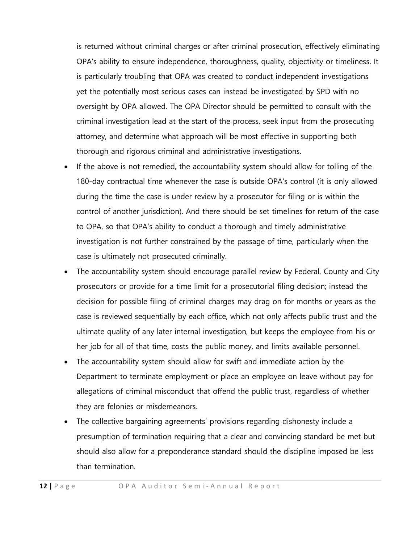is returned without criminal charges or after criminal prosecution, effectively eliminating OPA's ability to ensure independence, thoroughness, quality, objectivity or timeliness. It is particularly troubling that OPA was created to conduct independent investigations yet the potentially most serious cases can instead be investigated by SPD with no oversight by OPA allowed. The OPA Director should be permitted to consult with the criminal investigation lead at the start of the process, seek input from the prosecuting attorney, and determine what approach will be most effective in supporting both thorough and rigorous criminal and administrative investigations.

- If the above is not remedied, the accountability system should allow for tolling of the 180-day contractual time whenever the case is outside OPA's control (it is only allowed during the time the case is under review by a prosecutor for filing or is within the control of another jurisdiction). And there should be set timelines for return of the case to OPA, so that OPA's ability to conduct a thorough and timely administrative investigation is not further constrained by the passage of time, particularly when the case is ultimately not prosecuted criminally.
- The accountability system should encourage parallel review by Federal, County and City prosecutors or provide for a time limit for a prosecutorial filing decision; instead the decision for possible filing of criminal charges may drag on for months or years as the case is reviewed sequentially by each office, which not only affects public trust and the ultimate quality of any later internal investigation, but keeps the employee from his or her job for all of that time, costs the public money, and limits available personnel.
- The accountability system should allow for swift and immediate action by the Department to terminate employment or place an employee on leave without pay for allegations of criminal misconduct that offend the public trust, regardless of whether they are felonies or misdemeanors.
- The collective bargaining agreements' provisions regarding dishonesty include a presumption of termination requiring that a clear and convincing standard be met but should also allow for a preponderance standard should the discipline imposed be less than termination.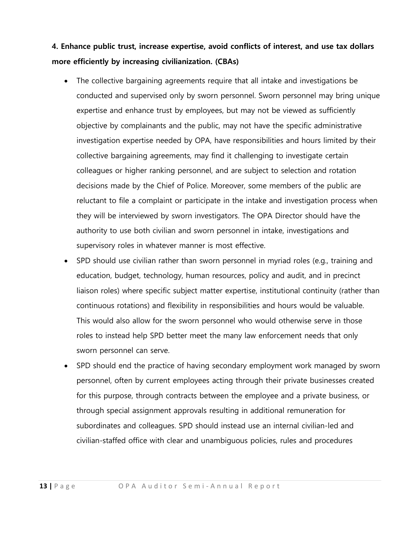**4. Enhance public trust, increase expertise, avoid conflicts of interest, and use tax dollars more efficiently by increasing civilianization. (CBAs)**

- The collective bargaining agreements require that all intake and investigations be conducted and supervised only by sworn personnel. Sworn personnel may bring unique expertise and enhance trust by employees, but may not be viewed as sufficiently objective by complainants and the public, may not have the specific administrative investigation expertise needed by OPA, have responsibilities and hours limited by their collective bargaining agreements, may find it challenging to investigate certain colleagues or higher ranking personnel, and are subject to selection and rotation decisions made by the Chief of Police. Moreover, some members of the public are reluctant to file a complaint or participate in the intake and investigation process when they will be interviewed by sworn investigators. The OPA Director should have the authority to use both civilian and sworn personnel in intake, investigations and supervisory roles in whatever manner is most effective.
- SPD should use civilian rather than sworn personnel in myriad roles (e.g., training and education, budget, technology, human resources, policy and audit, and in precinct liaison roles) where specific subject matter expertise, institutional continuity (rather than continuous rotations) and flexibility in responsibilities and hours would be valuable. This would also allow for the sworn personnel who would otherwise serve in those roles to instead help SPD better meet the many law enforcement needs that only sworn personnel can serve.
- SPD should end the practice of having secondary employment work managed by sworn personnel, often by current employees acting through their private businesses created for this purpose, through contracts between the employee and a private business, or through special assignment approvals resulting in additional remuneration for subordinates and colleagues. SPD should instead use an internal civilian-led and civilian-staffed office with clear and unambiguous policies, rules and procedures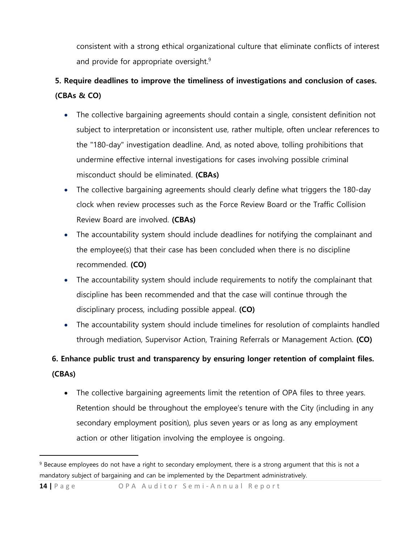consistent with a strong ethical organizational culture that eliminate conflicts of interest and provide for appropriate oversight.<sup>9</sup>

# **5. Require deadlines to improve the timeliness of investigations and conclusion of cases. (CBAs & CO)**

- The collective bargaining agreements should contain a single, consistent definition not subject to interpretation or inconsistent use, rather multiple, often unclear references to the "180-day" investigation deadline. And, as noted above, tolling prohibitions that undermine effective internal investigations for cases involving possible criminal misconduct should be eliminated. **(CBAs)**
- The collective bargaining agreements should clearly define what triggers the 180-day clock when review processes such as the Force Review Board or the Traffic Collision Review Board are involved. **(CBAs)**
- The accountability system should include deadlines for notifying the complainant and the employee(s) that their case has been concluded when there is no discipline recommended. **(CO)**
- The accountability system should include requirements to notify the complainant that discipline has been recommended and that the case will continue through the disciplinary process, including possible appeal. **(CO)**
- The accountability system should include timelines for resolution of complaints handled through mediation, Supervisor Action, Training Referrals or Management Action. **(CO)**

# **6. Enhance public trust and transparency by ensuring longer retention of complaint files. (CBAs)**

 The collective bargaining agreements limit the retention of OPA files to three years. Retention should be throughout the employee's tenure with the City (including in any secondary employment position), plus seven years or as long as any employment action or other litigation involving the employee is ongoing.

**14** | Page OPA Auditor Semi-Annual Report

 $\ddot{\phantom{a}}$ 

<sup>9</sup> Because employees do not have a right to secondary employment, there is a strong argument that this is not a mandatory subject of bargaining and can be implemented by the Department administratively.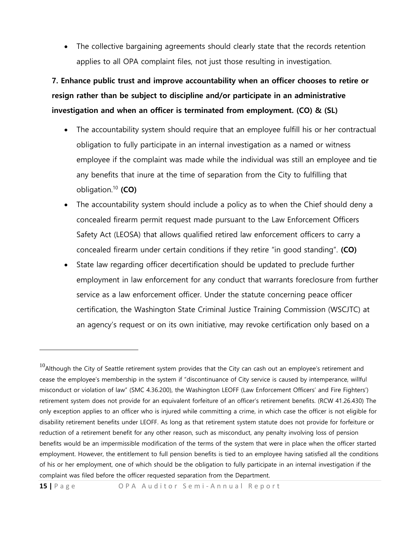• The collective bargaining agreements should clearly state that the records retention applies to all OPA complaint files, not just those resulting in investigation.

**7. Enhance public trust and improve accountability when an officer chooses to retire or resign rather than be subject to discipline and/or participate in an administrative investigation and when an officer is terminated from employment. (CO) & (SL)**

- The accountability system should require that an employee fulfill his or her contractual obligation to fully participate in an internal investigation as a named or witness employee if the complaint was made while the individual was still an employee and tie any benefits that inure at the time of separation from the City to fulfilling that obligation. <sup>10</sup> **(CO)**
- The accountability system should include a policy as to when the Chief should deny a concealed firearm permit request made pursuant to the Law Enforcement Officers Safety Act (LEOSA) that allows qualified retired law enforcement officers to carry a concealed firearm under certain conditions if they retire "in good standing". **(CO)**
- State law regarding officer decertification should be updated to preclude further employment in law enforcement for any conduct that warrants foreclosure from further service as a law enforcement officer. Under the statute concerning peace officer certification, the Washington State Criminal Justice Training Commission (WSCJTC) at an agency's request or on its own initiative, may revoke certification only based on a

 $10$ Although the City of Seattle retirement system provides that the City can cash out an employee's retirement and cease the employee's membership in the system if "discontinuance of City service is caused by intemperance, willful misconduct or violation of law" (SMC 4.36.200), the Washington LEOFF (Law Enforcement Officers' and Fire Fighters') retirement system does not provide for an equivalent forfeiture of an officer's retirement benefits. (RCW 41.26.430) The only exception applies to an officer who is injured while committing a crime, in which case the officer is not eligible for disability retirement benefits under LEOFF. As long as that retirement system statute does not provide for forfeiture or reduction of a retirement benefit for any other reason, such as misconduct, any penalty involving loss of pension benefits would be an impermissible modification of the terms of the system that were in place when the officer started employment. However, the entitlement to full pension benefits is tied to an employee having satisfied all the conditions of his or her employment, one of which should be the obligation to fully participate in an internal investigation if the complaint was filed before the officer requested separation from the Department.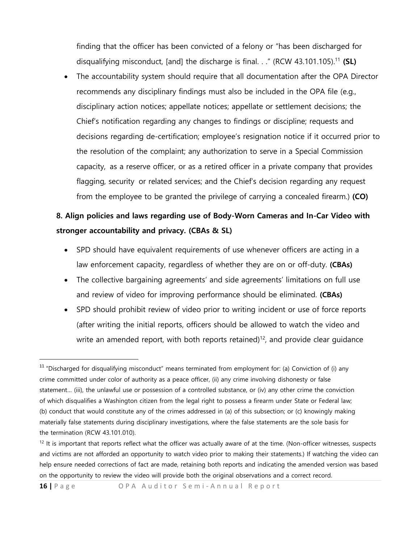finding that the officer has been convicted of a felony or "has been discharged for disqualifying misconduct, [and] the discharge is final. . ." (RCW 43.101.105).<sup>11</sup> **(SL)**

• The accountability system should require that all documentation after the OPA Director recommends any disciplinary findings must also be included in the OPA file (e.g., disciplinary action notices; appellate notices; appellate or settlement decisions; the Chief's notification regarding any changes to findings or discipline; requests and decisions regarding de-certification; employee's resignation notice if it occurred prior to the resolution of the complaint; any authorization to serve in a Special Commission capacity, as a reserve officer, or as a retired officer in a private company that provides flagging, security or related services; and the Chief's decision regarding any request from the employee to be granted the privilege of carrying a concealed firearm.) **(CO)**

### **8. Align policies and laws regarding use of Body-Worn Cameras and In-Car Video with stronger accountability and privacy. (CBAs & SL)**

- SPD should have equivalent requirements of use whenever officers are acting in a law enforcement capacity, regardless of whether they are on or off-duty. **(CBAs)**
- The collective bargaining agreements' and side agreements' limitations on full use and review of video for improving performance should be eliminated. **(CBAs)**
- SPD should prohibit review of video prior to writing incident or use of force reports (after writing the initial reports, officers should be allowed to watch the video and write an amended report, with both reports retained)<sup>12</sup>, and provide clear guidance

**16** | Page OPA Auditor Semi-Annual Report

 $11$  "Discharged for disqualifying misconduct" means terminated from employment for: (a) Conviction of (i) any crime committed under color of authority as a peace officer, (ii) any crime involving dishonesty or false statement… (iii), the unlawful use or possession of a controlled substance, or (iv) any other crime the conviction of which disqualifies a Washington citizen from the legal right to possess a firearm under State or Federal law; (b) conduct that would constitute any of the crimes addressed in (a) of this subsection; or (c) knowingly making materially false statements during disciplinary investigations, where the false statements are the sole basis for the termination (RCW 43.101.010).

 $12$  It is important that reports reflect what the officer was actually aware of at the time. (Non-officer witnesses, suspects and victims are not afforded an opportunity to watch video prior to making their statements.) If watching the video can help ensure needed corrections of fact are made, retaining both reports and indicating the amended version was based on the opportunity to review the video will provide both the original observations and a correct record.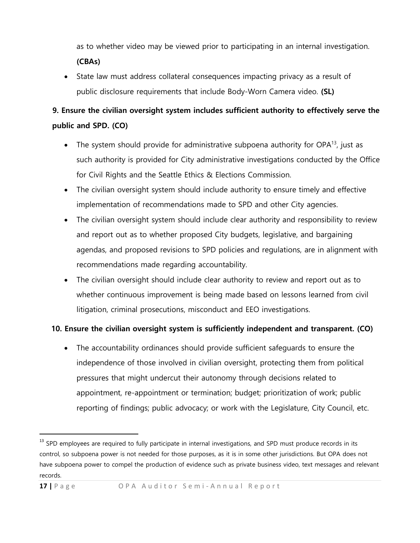as to whether video may be viewed prior to participating in an internal investigation. **(CBAs)**

 State law must address collateral consequences impacting privacy as a result of public disclosure requirements that include Body-Worn Camera video. **(SL)**

# **9. Ensure the civilian oversight system includes sufficient authority to effectively serve the public and SPD. (CO)**

- The system should provide for administrative subpoena authority for OPA $^{13}$ , just as such authority is provided for City administrative investigations conducted by the Office for Civil Rights and the Seattle Ethics & Elections Commission.
- The civilian oversight system should include authority to ensure timely and effective implementation of recommendations made to SPD and other City agencies.
- The civilian oversight system should include clear authority and responsibility to review and report out as to whether proposed City budgets, legislative, and bargaining agendas, and proposed revisions to SPD policies and regulations, are in alignment with recommendations made regarding accountability.
- The civilian oversight should include clear authority to review and report out as to whether continuous improvement is being made based on lessons learned from civil litigation, criminal prosecutions, misconduct and EEO investigations.

### **10. Ensure the civilian oversight system is sufficiently independent and transparent. (CO)**

 The accountability ordinances should provide sufficient safeguards to ensure the independence of those involved in civilian oversight, protecting them from political pressures that might undercut their autonomy through decisions related to appointment, re-appointment or termination; budget; prioritization of work; public reporting of findings; public advocacy; or work with the Legislature, City Council, etc.

 $\ddot{\phantom{a}}$ 

<sup>&</sup>lt;sup>13</sup> SPD employees are required to fully participate in internal investigations, and SPD must produce records in its control, so subpoena power is not needed for those purposes, as it is in some other jurisdictions. But OPA does not have subpoena power to compel the production of evidence such as private business video, text messages and relevant records.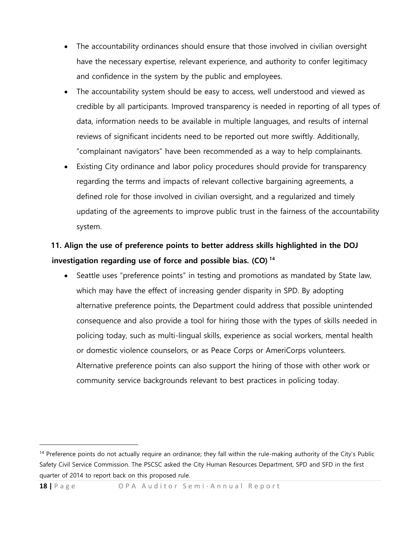- The accountability ordinances should ensure that those involved in civilian oversight have the necessary expertise, relevant experience, and authority to confer legitimacy and confidence in the system by the public and employees.
- The accountability system should be easy to access, well understood and viewed as credible by all participants. Improved transparency is needed in reporting of all types of data, information needs to be available in multiple languages, and results of internal reviews of significant incidents need to be reported out more swiftly. Additionally, "complainant navigators" have been recommended as a way to help complainants.
- Existing City ordinance and labor policy procedures should provide for transparency regarding the terms and impacts of relevant collective bargaining agreements, a defined role for those involved in civilian oversight, and a regularized and timely updating of the agreements to improve public trust in the fairness of the accountability system.

### **11. Align the use of preference points to better address skills highlighted in the DOJ investigation regarding use of force and possible bias. (CO) <sup>14</sup>**

• Seattle uses "preference points" in testing and promotions as mandated by State law, which may have the effect of increasing gender disparity in SPD. By adopting alternative preference points, the Department could address that possible unintended consequence and also provide a tool for hiring those with the types of skills needed in policing today, such as multi-lingual skills, experience as social workers, mental health or domestic violence counselors, or as Peace Corps or AmeriCorps volunteers. Alternative preference points can also support the hiring of those with other work or community service backgrounds relevant to best practices in policing today.

<sup>&</sup>lt;sup>14</sup> Preference points do not actually require an ordinance; they fall within the rule-making authority of the City's Public Safety Civil Service Commission. The PSCSC asked the City Human Resources Department, SPD and SFD in the first quarter of 2014 to report back on this proposed rule.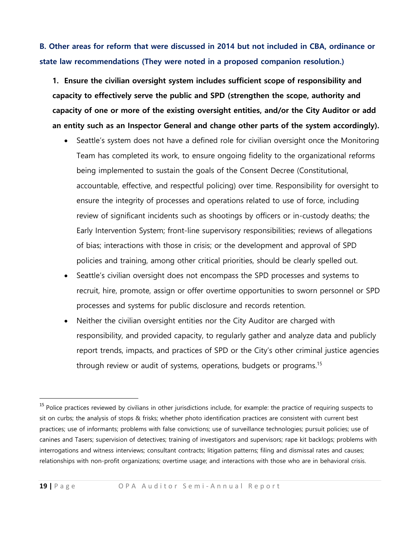### **B. Other areas for reform that were discussed in 2014 but not included in CBA, ordinance or state law recommendations (They were noted in a proposed companion resolution.)**

**1. Ensure the civilian oversight system includes sufficient scope of responsibility and capacity to effectively serve the public and SPD (strengthen the scope, authority and capacity of one or more of the existing oversight entities, and/or the City Auditor or add an entity such as an Inspector General and change other parts of the system accordingly).**

- Seattle's system does not have a defined role for civilian oversight once the Monitoring Team has completed its work, to ensure ongoing fidelity to the organizational reforms being implemented to sustain the goals of the Consent Decree (Constitutional, accountable, effective, and respectful policing) over time. Responsibility for oversight to ensure the integrity of processes and operations related to use of force, including review of significant incidents such as shootings by officers or in-custody deaths; the Early Intervention System; front-line supervisory responsibilities; reviews of allegations of bias; interactions with those in crisis; or the development and approval of SPD policies and training, among other critical priorities, should be clearly spelled out.
- Seattle's civilian oversight does not encompass the SPD processes and systems to recruit, hire, promote, assign or offer overtime opportunities to sworn personnel or SPD processes and systems for public disclosure and records retention.
- Neither the civilian oversight entities nor the City Auditor are charged with responsibility, and provided capacity, to regularly gather and analyze data and publicly report trends, impacts, and practices of SPD or the City's other criminal justice agencies through review or audit of systems, operations, budgets or programs.<sup>15</sup>

 $\ddot{\phantom{a}}$ 

<sup>&</sup>lt;sup>15</sup> Police practices reviewed by civilians in other jurisdictions include, for example: the practice of requiring suspects to sit on curbs; the analysis of stops & frisks; whether photo identification practices are consistent with current best practices; use of informants; problems with false convictions; use of surveillance technologies; pursuit policies; use of canines and Tasers; supervision of detectives; training of investigators and supervisors; rape kit backlogs; problems with interrogations and witness interviews; consultant contracts; litigation patterns; filing and dismissal rates and causes; relationships with non-profit organizations; overtime usage; and interactions with those who are in behavioral crisis.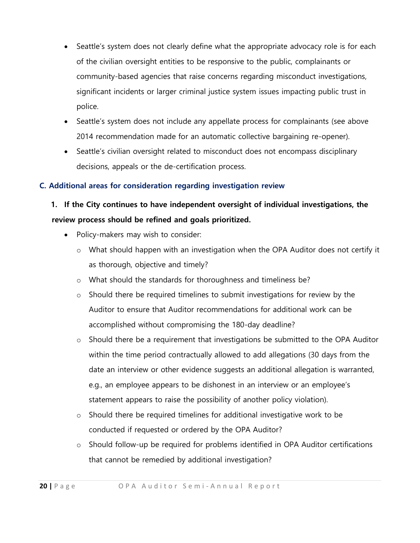- Seattle's system does not clearly define what the appropriate advocacy role is for each of the civilian oversight entities to be responsive to the public, complainants or community-based agencies that raise concerns regarding misconduct investigations, significant incidents or larger criminal justice system issues impacting public trust in police.
- Seattle's system does not include any appellate process for complainants (see above 2014 recommendation made for an automatic collective bargaining re-opener).
- Seattle's civilian oversight related to misconduct does not encompass disciplinary decisions, appeals or the de-certification process.

### **C. Additional areas for consideration regarding investigation review**

# **1. If the City continues to have independent oversight of individual investigations, the review process should be refined and goals prioritized.**

- Policy-makers may wish to consider:
	- $\circ$  What should happen with an investigation when the OPA Auditor does not certify it as thorough, objective and timely?
	- o What should the standards for thoroughness and timeliness be?
	- o Should there be required timelines to submit investigations for review by the Auditor to ensure that Auditor recommendations for additional work can be accomplished without compromising the 180-day deadline?
	- $\circ$  Should there be a requirement that investigations be submitted to the OPA Auditor within the time period contractually allowed to add allegations (30 days from the date an interview or other evidence suggests an additional allegation is warranted, e.g., an employee appears to be dishonest in an interview or an employee's statement appears to raise the possibility of another policy violation).
	- o Should there be required timelines for additional investigative work to be conducted if requested or ordered by the OPA Auditor?
	- o Should follow-up be required for problems identified in OPA Auditor certifications that cannot be remedied by additional investigation?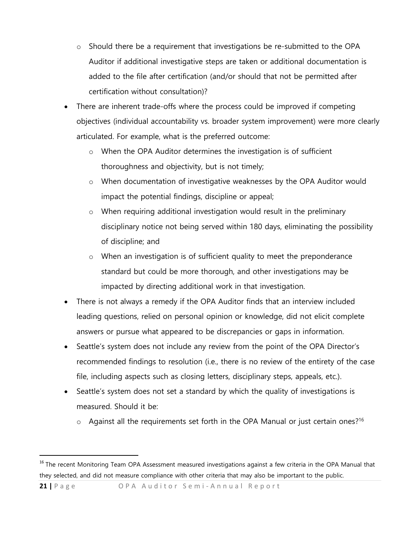- $\circ$  Should there be a requirement that investigations be re-submitted to the OPA Auditor if additional investigative steps are taken or additional documentation is added to the file after certification (and/or should that not be permitted after certification without consultation)?
- There are inherent trade-offs where the process could be improved if competing objectives (individual accountability vs. broader system improvement) were more clearly articulated. For example, what is the preferred outcome:
	- o When the OPA Auditor determines the investigation is of sufficient thoroughness and objectivity, but is not timely;
	- o When documentation of investigative weaknesses by the OPA Auditor would impact the potential findings, discipline or appeal;
	- $\circ$  When requiring additional investigation would result in the preliminary disciplinary notice not being served within 180 days, eliminating the possibility of discipline; and
	- o When an investigation is of sufficient quality to meet the preponderance standard but could be more thorough, and other investigations may be impacted by directing additional work in that investigation.
- There is not always a remedy if the OPA Auditor finds that an interview included leading questions, relied on personal opinion or knowledge, did not elicit complete answers or pursue what appeared to be discrepancies or gaps in information.
- Seattle's system does not include any review from the point of the OPA Director's recommended findings to resolution (i.e., there is no review of the entirety of the case file, including aspects such as closing letters, disciplinary steps, appeals, etc.).
- Seattle's system does not set a standard by which the quality of investigations is measured. Should it be:
	- $\circ$  Against all the requirements set forth in the OPA Manual or just certain ones?<sup>16</sup>

**21** | Page OPA Auditor Semi-Annual Report

 $\ddot{\phantom{a}}$ 

<sup>&</sup>lt;sup>16</sup> The recent Monitoring Team OPA Assessment measured investigations against a few criteria in the OPA Manual that they selected, and did not measure compliance with other criteria that may also be important to the public.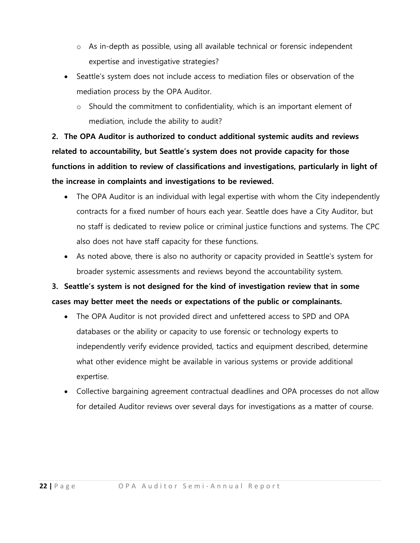- o As in-depth as possible, using all available technical or forensic independent expertise and investigative strategies?
- Seattle's system does not include access to mediation files or observation of the mediation process by the OPA Auditor.
	- o Should the commitment to confidentiality, which is an important element of mediation, include the ability to audit?

**2. The OPA Auditor is authorized to conduct additional systemic audits and reviews related to accountability, but Seattle's system does not provide capacity for those functions in addition to review of classifications and investigations, particularly in light of the increase in complaints and investigations to be reviewed.**

- The OPA Auditor is an individual with legal expertise with whom the City independently contracts for a fixed number of hours each year. Seattle does have a City Auditor, but no staff is dedicated to review police or criminal justice functions and systems. The CPC also does not have staff capacity for these functions.
- As noted above, there is also no authority or capacity provided in Seattle's system for broader systemic assessments and reviews beyond the accountability system.

# **3. Seattle's system is not designed for the kind of investigation review that in some cases may better meet the needs or expectations of the public or complainants.**

- The OPA Auditor is not provided direct and unfettered access to SPD and OPA databases or the ability or capacity to use forensic or technology experts to independently verify evidence provided, tactics and equipment described, determine what other evidence might be available in various systems or provide additional expertise.
- Collective bargaining agreement contractual deadlines and OPA processes do not allow for detailed Auditor reviews over several days for investigations as a matter of course.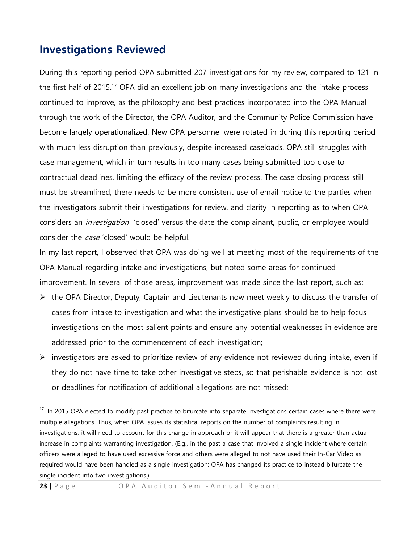# **Investigations Reviewed**

 $\overline{a}$ 

During this reporting period OPA submitted 207 investigations for my review, compared to 121 in the first half of 2015.<sup>17</sup> OPA did an excellent job on many investigations and the intake process continued to improve, as the philosophy and best practices incorporated into the OPA Manual through the work of the Director, the OPA Auditor, and the Community Police Commission have become largely operationalized. New OPA personnel were rotated in during this reporting period with much less disruption than previously, despite increased caseloads. OPA still struggles with case management, which in turn results in too many cases being submitted too close to contractual deadlines, limiting the efficacy of the review process. The case closing process still must be streamlined, there needs to be more consistent use of email notice to the parties when the investigators submit their investigations for review, and clarity in reporting as to when OPA considers an *investigation* 'closed' versus the date the complainant, public, or employee would consider the *case* 'closed' would be helpful.

In my last report, I observed that OPA was doing well at meeting most of the requirements of the OPA Manual regarding intake and investigations, but noted some areas for continued improvement. In several of those areas, improvement was made since the last report, such as:

- $\triangleright$  the OPA Director, Deputy, Captain and Lieutenants now meet weekly to discuss the transfer of cases from intake to investigation and what the investigative plans should be to help focus investigations on the most salient points and ensure any potential weaknesses in evidence are addressed prior to the commencement of each investigation;
- $\triangleright$  investigators are asked to prioritize review of any evidence not reviewed during intake, even if they do not have time to take other investigative steps, so that perishable evidence is not lost or deadlines for notification of additional allegations are not missed;

<sup>&</sup>lt;sup>17</sup> In 2015 OPA elected to modify past practice to bifurcate into separate investigations certain cases where there were multiple allegations. Thus, when OPA issues its statistical reports on the number of complaints resulting in investigations, it will need to account for this change in approach or it will appear that there is a greater than actual increase in complaints warranting investigation. (E.g., in the past a case that involved a single incident where certain officers were alleged to have used excessive force and others were alleged to not have used their In-Car Video as required would have been handled as a single investigation; OPA has changed its practice to instead bifurcate the single incident into two investigations.)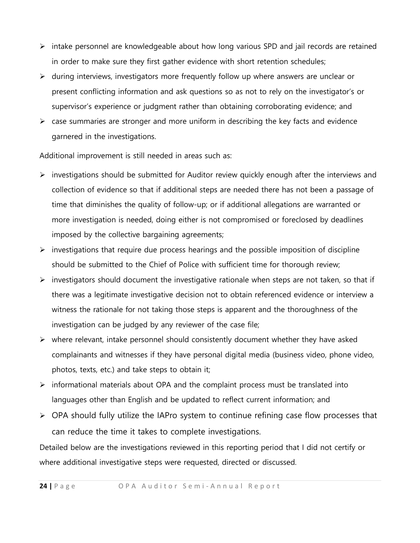- $\triangleright$  intake personnel are knowledgeable about how long various SPD and jail records are retained in order to make sure they first gather evidence with short retention schedules;
- $\triangleright$  during interviews, investigators more frequently follow up where answers are unclear or present conflicting information and ask questions so as not to rely on the investigator's or supervisor's experience or judgment rather than obtaining corroborating evidence; and
- $\triangleright$  case summaries are stronger and more uniform in describing the key facts and evidence garnered in the investigations.

Additional improvement is still needed in areas such as:

- $\triangleright$  investigations should be submitted for Auditor review quickly enough after the interviews and collection of evidence so that if additional steps are needed there has not been a passage of time that diminishes the quality of follow-up; or if additional allegations are warranted or more investigation is needed, doing either is not compromised or foreclosed by deadlines imposed by the collective bargaining agreements;
- $\triangleright$  investigations that require due process hearings and the possible imposition of discipline should be submitted to the Chief of Police with sufficient time for thorough review;
- $\triangleright$  investigators should document the investigative rationale when steps are not taken, so that if there was a legitimate investigative decision not to obtain referenced evidence or interview a witness the rationale for not taking those steps is apparent and the thoroughness of the investigation can be judged by any reviewer of the case file;
- $\triangleright$  where relevant, intake personnel should consistently document whether they have asked complainants and witnesses if they have personal digital media (business video, phone video, photos, texts, etc.) and take steps to obtain it;
- $\triangleright$  informational materials about OPA and the complaint process must be translated into languages other than English and be updated to reflect current information; and
- $\triangleright$  OPA should fully utilize the IAPro system to continue refining case flow processes that can reduce the time it takes to complete investigations.

Detailed below are the investigations reviewed in this reporting period that I did not certify or where additional investigative steps were requested, directed or discussed.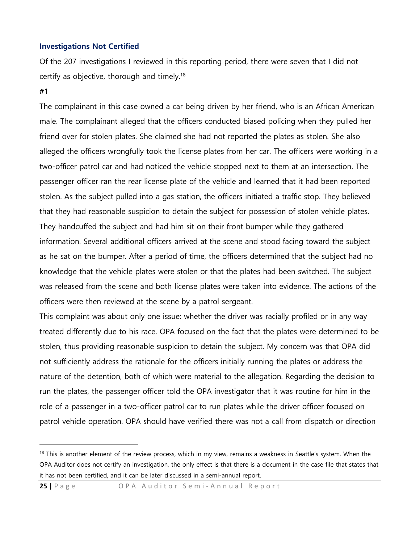#### **Investigations Not Certified**

Of the 207 investigations I reviewed in this reporting period, there were seven that I did not certify as objective, thorough and timely.<sup>18</sup>

### **#1**

 $\overline{a}$ 

The complainant in this case owned a car being driven by her friend, who is an African American male. The complainant alleged that the officers conducted biased policing when they pulled her friend over for stolen plates. She claimed she had not reported the plates as stolen. She also alleged the officers wrongfully took the license plates from her car. The officers were working in a two-officer patrol car and had noticed the vehicle stopped next to them at an intersection. The passenger officer ran the rear license plate of the vehicle and learned that it had been reported stolen. As the subject pulled into a gas station, the officers initiated a traffic stop. They believed that they had reasonable suspicion to detain the subject for possession of stolen vehicle plates. They handcuffed the subject and had him sit on their front bumper while they gathered information. Several additional officers arrived at the scene and stood facing toward the subject as he sat on the bumper. After a period of time, the officers determined that the subject had no knowledge that the vehicle plates were stolen or that the plates had been switched. The subject was released from the scene and both license plates were taken into evidence. The actions of the officers were then reviewed at the scene by a patrol sergeant.

This complaint was about only one issue: whether the driver was racially profiled or in any way treated differently due to his race. OPA focused on the fact that the plates were determined to be stolen, thus providing reasonable suspicion to detain the subject. My concern was that OPA did not sufficiently address the rationale for the officers initially running the plates or address the nature of the detention, both of which were material to the allegation. Regarding the decision to run the plates, the passenger officer told the OPA investigator that it was routine for him in the role of a passenger in a two-officer patrol car to run plates while the driver officer focused on patrol vehicle operation. OPA should have verified there was not a call from dispatch or direction

<sup>&</sup>lt;sup>18</sup> This is another element of the review process, which in my view, remains a weakness in Seattle's system. When the OPA Auditor does not certify an investigation, the only effect is that there is a document in the case file that states that it has not been certified, and it can be later discussed in a semi-annual report.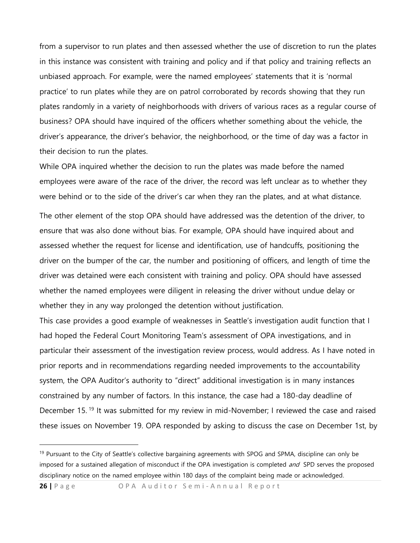from a supervisor to run plates and then assessed whether the use of discretion to run the plates in this instance was consistent with training and policy and if that policy and training reflects an unbiased approach. For example, were the named employees' statements that it is 'normal practice' to run plates while they are on patrol corroborated by records showing that they run plates randomly in a variety of neighborhoods with drivers of various races as a regular course of business? OPA should have inquired of the officers whether something about the vehicle, the driver's appearance, the driver's behavior, the neighborhood, or the time of day was a factor in their decision to run the plates.

While OPA inquired whether the decision to run the plates was made before the named employees were aware of the race of the driver, the record was left unclear as to whether they were behind or to the side of the driver's car when they ran the plates, and at what distance.

The other element of the stop OPA should have addressed was the detention of the driver, to ensure that was also done without bias. For example, OPA should have inquired about and assessed whether the request for license and identification, use of handcuffs, positioning the driver on the bumper of the car, the number and positioning of officers, and length of time the driver was detained were each consistent with training and policy. OPA should have assessed whether the named employees were diligent in releasing the driver without undue delay or whether they in any way prolonged the detention without justification.

This case provides a good example of weaknesses in Seattle's investigation audit function that I had hoped the Federal Court Monitoring Team's assessment of OPA investigations, and in particular their assessment of the investigation review process, would address. As I have noted in prior reports and in recommendations regarding needed improvements to the accountability system, the OPA Auditor's authority to "direct" additional investigation is in many instances constrained by any number of factors. In this instance, the case had a 180-day deadline of December 15.<sup>19</sup> It was submitted for my review in mid-November; I reviewed the case and raised these issues on November 19. OPA responded by asking to discuss the case on December 1st, by

**26** | Page OPA Auditor Semi-Annual Report

<sup>&</sup>lt;sup>19</sup> Pursuant to the City of Seattle's collective bargaining agreements with SPOG and SPMA, discipline can only be imposed for a sustained allegation of misconduct if the OPA investigation is completed and SPD serves the proposed disciplinary notice on the named employee within 180 days of the complaint being made or acknowledged.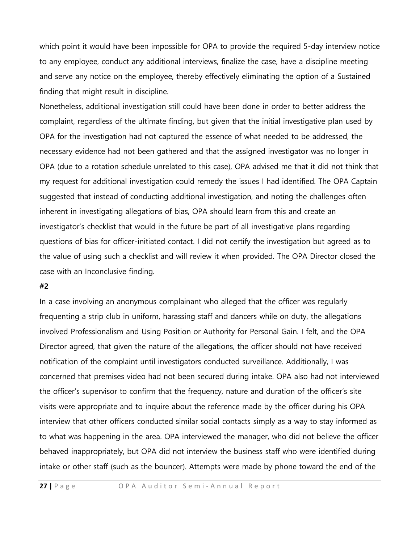which point it would have been impossible for OPA to provide the required 5-day interview notice to any employee, conduct any additional interviews, finalize the case, have a discipline meeting and serve any notice on the employee, thereby effectively eliminating the option of a Sustained finding that might result in discipline.

Nonetheless, additional investigation still could have been done in order to better address the complaint, regardless of the ultimate finding, but given that the initial investigative plan used by OPA for the investigation had not captured the essence of what needed to be addressed, the necessary evidence had not been gathered and that the assigned investigator was no longer in OPA (due to a rotation schedule unrelated to this case), OPA advised me that it did not think that my request for additional investigation could remedy the issues I had identified. The OPA Captain suggested that instead of conducting additional investigation, and noting the challenges often inherent in investigating allegations of bias, OPA should learn from this and create an investigator's checklist that would in the future be part of all investigative plans regarding questions of bias for officer-initiated contact. I did not certify the investigation but agreed as to the value of using such a checklist and will review it when provided. The OPA Director closed the case with an Inconclusive finding.

### **#2**

In a case involving an anonymous complainant who alleged that the officer was regularly frequenting a strip club in uniform, harassing staff and dancers while on duty, the allegations involved Professionalism and Using Position or Authority for Personal Gain. I felt, and the OPA Director agreed, that given the nature of the allegations, the officer should not have received notification of the complaint until investigators conducted surveillance. Additionally, I was concerned that premises video had not been secured during intake. OPA also had not interviewed the officer's supervisor to confirm that the frequency, nature and duration of the officer's site visits were appropriate and to inquire about the reference made by the officer during his OPA interview that other officers conducted similar social contacts simply as a way to stay informed as to what was happening in the area. OPA interviewed the manager, who did not believe the officer behaved inappropriately, but OPA did not interview the business staff who were identified during intake or other staff (such as the bouncer). Attempts were made by phone toward the end of the

**27** | Page OPA Auditor Semi-Annual Report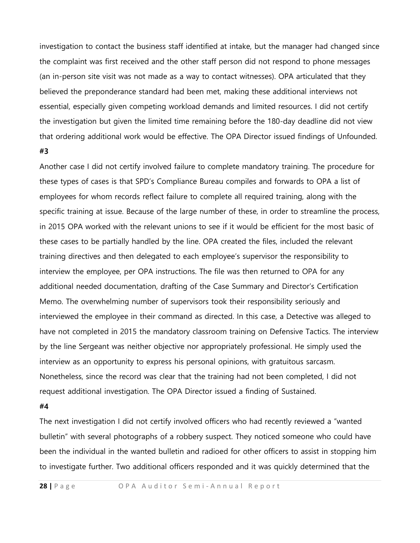investigation to contact the business staff identified at intake, but the manager had changed since the complaint was first received and the other staff person did not respond to phone messages (an in-person site visit was not made as a way to contact witnesses). OPA articulated that they believed the preponderance standard had been met, making these additional interviews not essential, especially given competing workload demands and limited resources. I did not certify the investigation but given the limited time remaining before the 180-day deadline did not view that ordering additional work would be effective. The OPA Director issued findings of Unfounded. **#3**

# Another case I did not certify involved failure to complete mandatory training. The procedure for these types of cases is that SPD's Compliance Bureau compiles and forwards to OPA a list of employees for whom records reflect failure to complete all required training, along with the specific training at issue. Because of the large number of these, in order to streamline the process, in 2015 OPA worked with the relevant unions to see if it would be efficient for the most basic of these cases to be partially handled by the line. OPA created the files, included the relevant training directives and then delegated to each employee's supervisor the responsibility to interview the employee, per OPA instructions. The file was then returned to OPA for any additional needed documentation, drafting of the Case Summary and Director's Certification Memo. The overwhelming number of supervisors took their responsibility seriously and interviewed the employee in their command as directed. In this case, a Detective was alleged to have not completed in 2015 the mandatory classroom training on Defensive Tactics. The interview by the line Sergeant was neither objective nor appropriately professional. He simply used the interview as an opportunity to express his personal opinions, with gratuitous sarcasm. Nonetheless, since the record was clear that the training had not been completed, I did not request additional investigation. The OPA Director issued a finding of Sustained.

#### **#4**

The next investigation I did not certify involved officers who had recently reviewed a "wanted bulletin" with several photographs of a robbery suspect. They noticed someone who could have been the individual in the wanted bulletin and radioed for other officers to assist in stopping him to investigate further. Two additional officers responded and it was quickly determined that the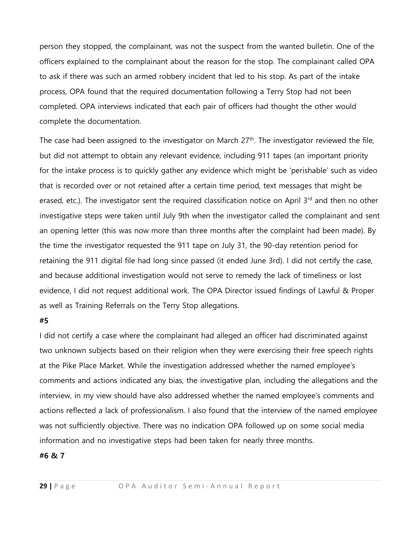person they stopped, the complainant, was not the suspect from the wanted bulletin. One of the officers explained to the complainant about the reason for the stop. The complainant called OPA to ask if there was such an armed robbery incident that led to his stop. As part of the intake process, OPA found that the required documentation following a Terry Stop had not been completed. OPA interviews indicated that each pair of officers had thought the other would complete the documentation.

The case had been assigned to the investigator on March  $27<sup>th</sup>$ . The investigator reviewed the file, but did not attempt to obtain any relevant evidence, including 911 tapes (an important priority for the intake process is to quickly gather any evidence which might be 'perishable' such as video that is recorded over or not retained after a certain time period, text messages that might be erased, etc.). The investigator sent the required classification notice on April 3<sup>rd</sup> and then no other investigative steps were taken until July 9th when the investigator called the complainant and sent an opening letter (this was now more than three months after the complaint had been made). By the time the investigator requested the 911 tape on July 31, the 90-day retention period for retaining the 911 digital file had long since passed (it ended June 3rd). I did not certify the case, and because additional investigation would not serve to remedy the lack of timeliness or lost evidence, I did not request additional work. The OPA Director issued findings of Lawful & Proper as well as Training Referrals on the Terry Stop allegations.

#### **#5**

I did not certify a case where the complainant had alleged an officer had discriminated against two unknown subjects based on their religion when they were exercising their free speech rights at the Pike Place Market. While the investigation addressed whether the named employee's comments and actions indicated any bias, the investigative plan, including the allegations and the interview, in my view should have also addressed whether the named employee's comments and actions reflected a lack of professionalism. I also found that the interview of the named employee was not sufficiently objective. There was no indication OPA followed up on some social media information and no investigative steps had been taken for nearly three months.

#### **#6 & 7**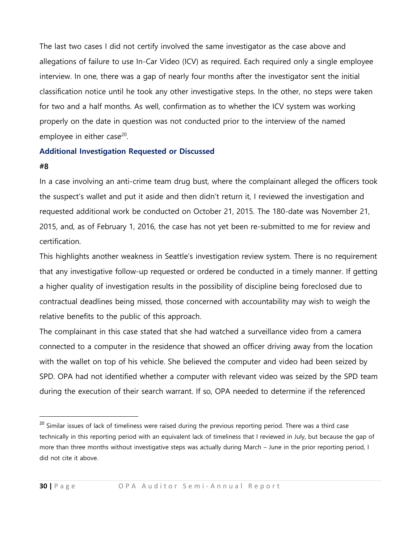The last two cases I did not certify involved the same investigator as the case above and allegations of failure to use In-Car Video (ICV) as required. Each required only a single employee interview. In one, there was a gap of nearly four months after the investigator sent the initial classification notice until he took any other investigative steps. In the other, no steps were taken for two and a half months. As well, confirmation as to whether the ICV system was working properly on the date in question was not conducted prior to the interview of the named employee in either case<sup>20</sup>.

### **Additional Investigation Requested or Discussed**

### **#8**

 $\overline{a}$ 

In a case involving an anti-crime team drug bust, where the complainant alleged the officers took the suspect's wallet and put it aside and then didn't return it, I reviewed the investigation and requested additional work be conducted on October 21, 2015. The 180-date was November 21, 2015, and, as of February 1, 2016, the case has not yet been re-submitted to me for review and certification.

This highlights another weakness in Seattle's investigation review system. There is no requirement that any investigative follow-up requested or ordered be conducted in a timely manner. If getting a higher quality of investigation results in the possibility of discipline being foreclosed due to contractual deadlines being missed, those concerned with accountability may wish to weigh the relative benefits to the public of this approach.

The complainant in this case stated that she had watched a surveillance video from a camera connected to a computer in the residence that showed an officer driving away from the location with the wallet on top of his vehicle. She believed the computer and video had been seized by SPD. OPA had not identified whether a computer with relevant video was seized by the SPD team during the execution of their search warrant. If so, OPA needed to determine if the referenced

<sup>&</sup>lt;sup>20</sup> Similar issues of lack of timeliness were raised during the previous reporting period. There was a third case technically in this reporting period with an equivalent lack of timeliness that I reviewed in July, but because the gap of more than three months without investigative steps was actually during March – June in the prior reporting period, I did not cite it above.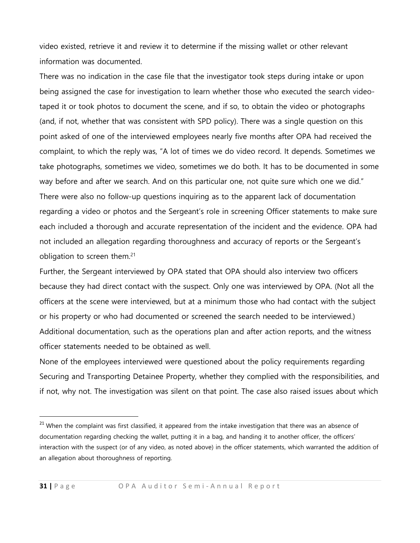video existed, retrieve it and review it to determine if the missing wallet or other relevant information was documented.

There was no indication in the case file that the investigator took steps during intake or upon being assigned the case for investigation to learn whether those who executed the search videotaped it or took photos to document the scene, and if so, to obtain the video or photographs (and, if not, whether that was consistent with SPD policy). There was a single question on this point asked of one of the interviewed employees nearly five months after OPA had received the complaint, to which the reply was, "A lot of times we do video record. It depends. Sometimes we take photographs, sometimes we video, sometimes we do both. It has to be documented in some way before and after we search. And on this particular one, not quite sure which one we did." There were also no follow-up questions inquiring as to the apparent lack of documentation regarding a video or photos and the Sergeant's role in screening Officer statements to make sure each included a thorough and accurate representation of the incident and the evidence. OPA had not included an allegation regarding thoroughness and accuracy of reports or the Sergeant's obligation to screen them.<sup>21</sup>

Further, the Sergeant interviewed by OPA stated that OPA should also interview two officers because they had direct contact with the suspect. Only one was interviewed by OPA. (Not all the officers at the scene were interviewed, but at a minimum those who had contact with the subject or his property or who had documented or screened the search needed to be interviewed.) Additional documentation, such as the operations plan and after action reports, and the witness officer statements needed to be obtained as well.

None of the employees interviewed were questioned about the policy requirements regarding Securing and Transporting Detainee Property, whether they complied with the responsibilities, and if not, why not. The investigation was silent on that point. The case also raised issues about which

 $21$  When the complaint was first classified, it appeared from the intake investigation that there was an absence of documentation regarding checking the wallet, putting it in a bag, and handing it to another officer, the officers' interaction with the suspect (or of any video, as noted above) in the officer statements, which warranted the addition of an allegation about thoroughness of reporting.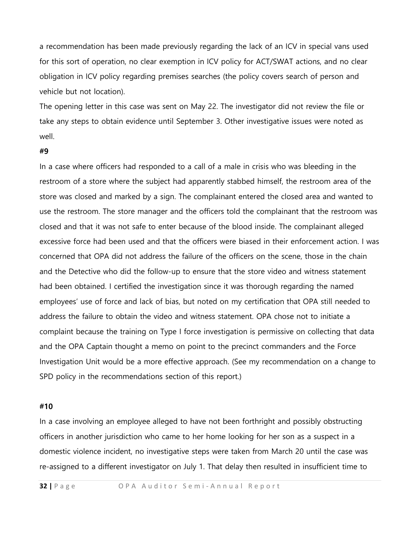a recommendation has been made previously regarding the lack of an ICV in special vans used for this sort of operation, no clear exemption in ICV policy for ACT/SWAT actions, and no clear obligation in ICV policy regarding premises searches (the policy covers search of person and vehicle but not location).

The opening letter in this case was sent on May 22. The investigator did not review the file or take any steps to obtain evidence until September 3. Other investigative issues were noted as well.

#### **#9**

In a case where officers had responded to a call of a male in crisis who was bleeding in the restroom of a store where the subject had apparently stabbed himself, the restroom area of the store was closed and marked by a sign. The complainant entered the closed area and wanted to use the restroom. The store manager and the officers told the complainant that the restroom was closed and that it was not safe to enter because of the blood inside. The complainant alleged excessive force had been used and that the officers were biased in their enforcement action. I was concerned that OPA did not address the failure of the officers on the scene, those in the chain and the Detective who did the follow-up to ensure that the store video and witness statement had been obtained. I certified the investigation since it was thorough regarding the named employees' use of force and lack of bias, but noted on my certification that OPA still needed to address the failure to obtain the video and witness statement. OPA chose not to initiate a complaint because the training on Type I force investigation is permissive on collecting that data and the OPA Captain thought a memo on point to the precinct commanders and the Force Investigation Unit would be a more effective approach. (See my recommendation on a change to SPD policy in the recommendations section of this report.)

#### **#10**

In a case involving an employee alleged to have not been forthright and possibly obstructing officers in another jurisdiction who came to her home looking for her son as a suspect in a domestic violence incident, no investigative steps were taken from March 20 until the case was re-assigned to a different investigator on July 1. That delay then resulted in insufficient time to

**32** | Page OPA Auditor Semi-Annual Report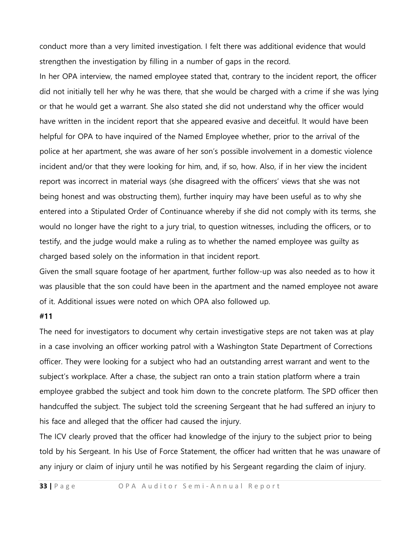conduct more than a very limited investigation. I felt there was additional evidence that would strengthen the investigation by filling in a number of gaps in the record.

In her OPA interview, the named employee stated that, contrary to the incident report, the officer did not initially tell her why he was there, that she would be charged with a crime if she was lying or that he would get a warrant. She also stated she did not understand why the officer would have written in the incident report that she appeared evasive and deceitful. It would have been helpful for OPA to have inquired of the Named Employee whether, prior to the arrival of the police at her apartment, she was aware of her son's possible involvement in a domestic violence incident and/or that they were looking for him, and, if so, how. Also, if in her view the incident report was incorrect in material ways (she disagreed with the officers' views that she was not being honest and was obstructing them), further inquiry may have been useful as to why she entered into a Stipulated Order of Continuance whereby if she did not comply with its terms, she would no longer have the right to a jury trial, to question witnesses, including the officers, or to testify, and the judge would make a ruling as to whether the named employee was guilty as charged based solely on the information in that incident report.

Given the small square footage of her apartment, further follow-up was also needed as to how it was plausible that the son could have been in the apartment and the named employee not aware of it. Additional issues were noted on which OPA also followed up.

### **#11**

The need for investigators to document why certain investigative steps are not taken was at play in a case involving an officer working patrol with a Washington State Department of Corrections officer. They were looking for a subject who had an outstanding arrest warrant and went to the subject's workplace. After a chase, the subject ran onto a train station platform where a train employee grabbed the subject and took him down to the concrete platform. The SPD officer then handcuffed the subject. The subject told the screening Sergeant that he had suffered an injury to his face and alleged that the officer had caused the injury.

The ICV clearly proved that the officer had knowledge of the injury to the subject prior to being told by his Sergeant. In his Use of Force Statement, the officer had written that he was unaware of any injury or claim of injury until he was notified by his Sergeant regarding the claim of injury.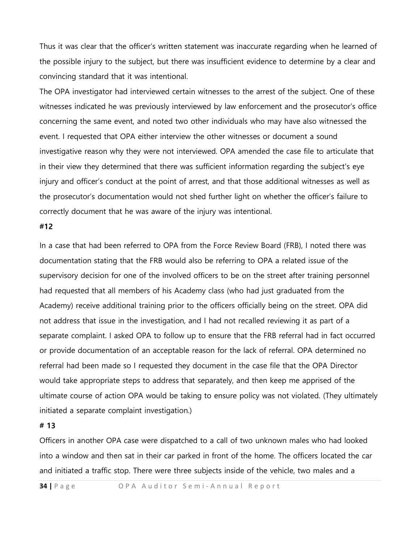Thus it was clear that the officer's written statement was inaccurate regarding when he learned of the possible injury to the subject, but there was insufficient evidence to determine by a clear and convincing standard that it was intentional.

The OPA investigator had interviewed certain witnesses to the arrest of the subject. One of these witnesses indicated he was previously interviewed by law enforcement and the prosecutor's office concerning the same event, and noted two other individuals who may have also witnessed the event. I requested that OPA either interview the other witnesses or document a sound investigative reason why they were not interviewed. OPA amended the case file to articulate that in their view they determined that there was sufficient information regarding the subject's eye injury and officer's conduct at the point of arrest, and that those additional witnesses as well as the prosecutor's documentation would not shed further light on whether the officer's failure to correctly document that he was aware of the injury was intentional.

### **#12**

In a case that had been referred to OPA from the Force Review Board (FRB), I noted there was documentation stating that the FRB would also be referring to OPA a related issue of the supervisory decision for one of the involved officers to be on the street after training personnel had requested that all members of his Academy class (who had just graduated from the Academy) receive additional training prior to the officers officially being on the street. OPA did not address that issue in the investigation, and I had not recalled reviewing it as part of a separate complaint. I asked OPA to follow up to ensure that the FRB referral had in fact occurred or provide documentation of an acceptable reason for the lack of referral. OPA determined no referral had been made so I requested they document in the case file that the OPA Director would take appropriate steps to address that separately, and then keep me apprised of the ultimate course of action OPA would be taking to ensure policy was not violated. (They ultimately initiated a separate complaint investigation.)

#### **# 13**

Officers in another OPA case were dispatched to a call of two unknown males who had looked into a window and then sat in their car parked in front of the home. The officers located the car and initiated a traffic stop. There were three subjects inside of the vehicle, two males and a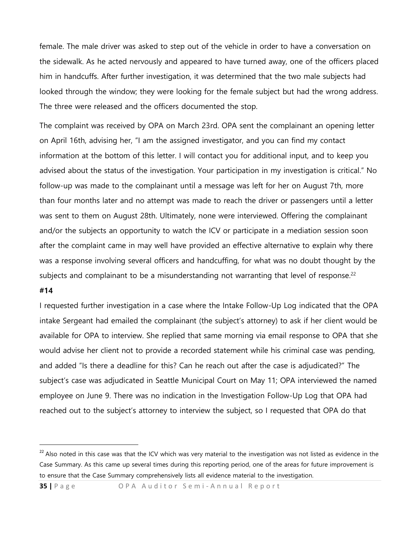female. The male driver was asked to step out of the vehicle in order to have a conversation on the sidewalk. As he acted nervously and appeared to have turned away, one of the officers placed him in handcuffs. After further investigation, it was determined that the two male subjects had looked through the window; they were looking for the female subject but had the wrong address. The three were released and the officers documented the stop.

The complaint was received by OPA on March 23rd. OPA sent the complainant an opening letter on April 16th, advising her, "I am the assigned investigator, and you can find my contact information at the bottom of this letter. I will contact you for additional input, and to keep you advised about the status of the investigation. Your participation in my investigation is critical." No follow-up was made to the complainant until a message was left for her on August 7th, more than four months later and no attempt was made to reach the driver or passengers until a letter was sent to them on August 28th. Ultimately, none were interviewed. Offering the complainant and/or the subjects an opportunity to watch the ICV or participate in a mediation session soon after the complaint came in may well have provided an effective alternative to explain why there was a response involving several officers and handcuffing, for what was no doubt thought by the subjects and complainant to be a misunderstanding not warranting that level of response.<sup>22</sup>

### **#14**

 $\overline{a}$ 

I requested further investigation in a case where the Intake Follow-Up Log indicated that the OPA intake Sergeant had emailed the complainant (the subject's attorney) to ask if her client would be available for OPA to interview. She replied that same morning via email response to OPA that she would advise her client not to provide a recorded statement while his criminal case was pending, and added "Is there a deadline for this? Can he reach out after the case is adjudicated?" The subject's case was adjudicated in Seattle Municipal Court on May 11; OPA interviewed the named employee on June 9. There was no indication in the Investigation Follow-Up Log that OPA had reached out to the subject's attorney to interview the subject, so I requested that OPA do that

**35** | Page OPA Auditor Semi-Annual Report

<sup>&</sup>lt;sup>22</sup> Also noted in this case was that the ICV which was very material to the investigation was not listed as evidence in the Case Summary. As this came up several times during this reporting period, one of the areas for future improvement is to ensure that the Case Summary comprehensively lists all evidence material to the investigation.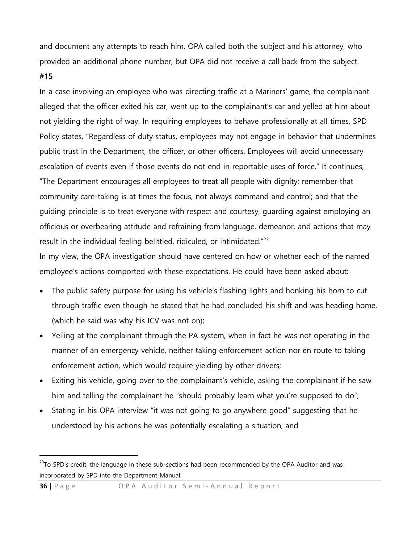and document any attempts to reach him. OPA called both the subject and his attorney, who provided an additional phone number, but OPA did not receive a call back from the subject.

#### **#15**

 $\ddot{\phantom{a}}$ 

In a case involving an employee who was directing traffic at a Mariners' game, the complainant alleged that the officer exited his car, went up to the complainant's car and yelled at him about not yielding the right of way. In requiring employees to behave professionally at all times, SPD Policy states, "Regardless of duty status, employees may not engage in behavior that undermines public trust in the Department, the officer, or other officers. Employees will avoid unnecessary escalation of events even if those events do not end in reportable uses of force." It continues, "The Department encourages all employees to treat all people with dignity; remember that community care-taking is at times the focus, not always command and control; and that the guiding principle is to treat everyone with respect and courtesy, guarding against employing an officious or overbearing attitude and refraining from language, demeanor, and actions that may result in the individual feeling belittled, ridiculed, or intimidated."<sup>23</sup>

In my view, the OPA investigation should have centered on how or whether each of the named employee's actions comported with these expectations. He could have been asked about:

- The public safety purpose for using his vehicle's flashing lights and honking his horn to cut through traffic even though he stated that he had concluded his shift and was heading home, (which he said was why his ICV was not on);
- Yelling at the complainant through the PA system, when in fact he was not operating in the manner of an emergency vehicle, neither taking enforcement action nor en route to taking enforcement action, which would require yielding by other drivers;
- Exiting his vehicle, going over to the complainant's vehicle, asking the complainant if he saw him and telling the complainant he "should probably learn what you're supposed to do";
- Stating in his OPA interview "it was not going to go anywhere good" suggesting that he understood by his actions he was potentially escalating a situation; and

<sup>&</sup>lt;sup>23</sup>To SPD's credit, the language in these sub-sections had been recommended by the OPA Auditor and was incorporated by SPD into the Department Manual.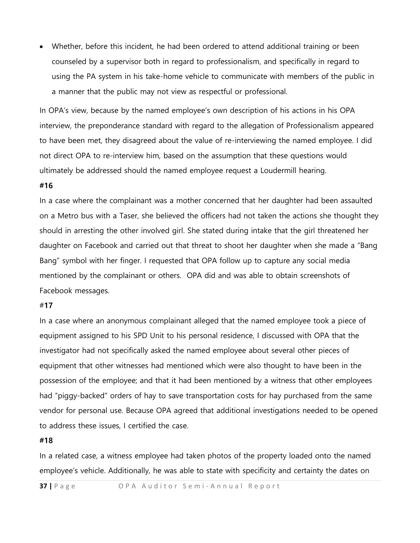Whether, before this incident, he had been ordered to attend additional training or been counseled by a supervisor both in regard to professionalism, and specifically in regard to using the PA system in his take-home vehicle to communicate with members of the public in a manner that the public may not view as respectful or professional.

In OPA's view, because by the named employee's own description of his actions in his OPA interview, the preponderance standard with regard to the allegation of Professionalism appeared to have been met, they disagreed about the value of re-interviewing the named employee. I did not direct OPA to re-interview him, based on the assumption that these questions would ultimately be addressed should the named employee request a Loudermill hearing.

#### **#16**

In a case where the complainant was a mother concerned that her daughter had been assaulted on a Metro bus with a Taser, she believed the officers had not taken the actions she thought they should in arresting the other involved girl. She stated during intake that the girl threatened her daughter on Facebook and carried out that threat to shoot her daughter when she made a "Bang Bang" symbol with her finger. I requested that OPA follow up to capture any social media mentioned by the complainant or others. OPA did and was able to obtain screenshots of Facebook messages.

#### #**17**

In a case where an anonymous complainant alleged that the named employee took a piece of equipment assigned to his SPD Unit to his personal residence, I discussed with OPA that the investigator had not specifically asked the named employee about several other pieces of equipment that other witnesses had mentioned which were also thought to have been in the possession of the employee; and that it had been mentioned by a witness that other employees had "piggy-backed" orders of hay to save transportation costs for hay purchased from the same vendor for personal use. Because OPA agreed that additional investigations needed to be opened to address these issues, I certified the case.

#### **#18**

In a related case, a witness employee had taken photos of the property loaded onto the named employee's vehicle. Additionally, he was able to state with specificity and certainty the dates on